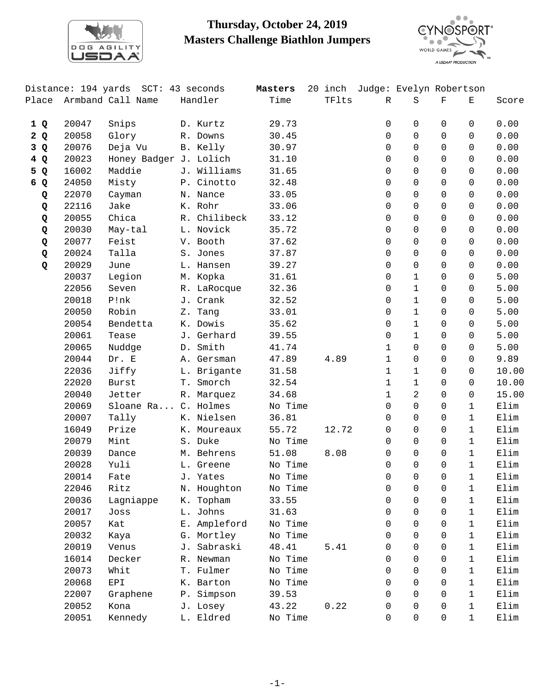

## **Thursday, October 24, 2019 Masters Challenge Biathlon Jumpers**



|       |       | Distance: 194 yards SCT: 43 seconds |              | Masters |       |              | 20 inch Judge: Evelyn Robertson |                |              |                 |
|-------|-------|-------------------------------------|--------------|---------|-------|--------------|---------------------------------|----------------|--------------|-----------------|
| Place |       | Armband Call Name                   | Handler      | Time    | TFlts | $\mathbb{R}$ | $\rm S$                         | $\mathbf F$    | Е            | Score           |
| 1Q    | 20047 | Snips                               | D. Kurtz     | 29.73   |       | 0            | $\mathbf 0$                     | 0              | 0            | 0.00            |
| 2Q    | 20058 | Glory                               | R. Downs     | 30.45   |       | 0            | $\Omega$                        | $\Omega$       | $\Omega$     | 0.00            |
| 3 Q   | 20076 | Deja Vu                             | B. Kelly     | 30.97   |       | 0            | $\Omega$                        | $\Omega$       | $\Omega$     | 0.00            |
| 4Q    | 20023 | Honey Badger J. Lolich              |              | 31.10   |       | 0            | $\mathbf 0$                     | 0              | $\Omega$     | 0.00            |
| 5 Q   | 16002 | Maddie                              | J. Williams  | 31.65   |       | 0            | 0                               | 0              | $\Omega$     | 0.00            |
| 6 Q   | 24050 | Misty                               | P. Cinotto   | 32.48   |       | 0            | $\Omega$                        | 0              | $\Omega$     | 0.00            |
| Q     | 22070 | Cayman                              | N. Nance     | 33.05   |       | $\Omega$     | $\mathbf 0$                     | 0              | $\Omega$     | 0.00            |
| Q     | 22116 | Jake                                | K. Rohr      | 33.06   |       | 0            | $\mathbf 0$                     | $\mathbf 0$    | $\Omega$     | 0.00            |
| Q     | 20055 | Chica                               | R. Chilibeck | 33.12   |       | 0            | $\mathsf{O}$                    | $\Omega$       | $\Omega$     | 0.00            |
| Q     | 20030 | May-tal                             | L. Novick    | 35.72   |       | 0            | $\Omega$                        | 0              | $\Omega$     | 0.00            |
| Q     | 20077 | Feist                               | V. Booth     | 37.62   |       | 0            | $\Omega$                        | $\Omega$       | $\Omega$     | 0.00            |
| Q     | 20024 | Talla                               | S. Jones     | 37.87   |       | 0            | $\mathbf 0$                     | $\Omega$       | $\Omega$     | 0.00            |
| Q     | 20029 | June                                | L. Hansen    | 39.27   |       | 0            | $\mathsf{O}$                    | $\Omega$       | $\Omega$     | 0.00            |
|       | 20037 | Legion                              | M. Kopka     | 31.61   |       | 0            | $\mathbf{1}$                    | 0              | 0            | 5.00            |
|       | 22056 | Seven                               | R. LaRocque  | 32.36   |       | 0            | $\mathbf{1}$                    | $\Omega$       | $\Omega$     | 5.00            |
|       | 20018 | P!nk                                | J. Crank     | 32.52   |       | 0            | $\mathbf 1$                     | $\Omega$       | $\mathbf 0$  | 5.00            |
|       | 20050 | Robin                               | Z. Tang      | 33.01   |       | 0            | $\mathbf 1$                     | $\Omega$       | $\mathbf 0$  | 5.00            |
|       | 20054 | Bendetta                            | K. Dowis     | 35.62   |       | 0            | $\mathbf{1}$                    | 0              | 0            | 5.00            |
|       | 20061 | Tease                               | J. Gerhard   | 39.55   |       | 0            | $\mathbf{1}$                    | $\Omega$       | $\Omega$     | 5.00            |
|       | 20065 | Nuddge                              | D. Smith     | 41.74   |       | 1            | $\mathsf{O}$                    | $\Omega$       | $\mathbf 0$  | 5.00            |
|       | 20044 | Dr. E                               | A. Gersman   | 47.89   | 4.89  | $\mathbf 1$  | $\mathsf{O}$                    | $\mathbf 0$    | $\mathsf{O}$ | 9.89            |
|       | 22036 | Jiffy                               | L. Brigante  | 31.58   |       | $\mathbf 1$  | $\mathbf{1}$                    | $\Omega$       | 0            | 10.00           |
|       | 22020 | <b>Burst</b>                        | T. Smorch    | 32.54   |       | $\mathbf 1$  | $\mathbf{1}$                    | $\Omega$       | $\mathbf 0$  | 10.00           |
|       | 20040 | Jetter                              | R. Marquez   | 34.68   |       | 1            | $\overline{a}$                  | $\Omega$       | $\mathbf 0$  | 15.00           |
|       | 20069 | Sloane Ra C. Holmes                 |              | No Time |       | 0            | $\mathsf{O}$                    | $\mathsf{O}$   | $\mathbf{1}$ | Elim            |
|       | 20007 | Tally                               | K. Nielsen   | 36.81   |       | 0            | $\mathsf{O}$                    | $\Omega$       | $\mathbf{1}$ | Elim            |
|       | 16049 | Prize                               | K. Moureaux  | 55.72   | 12.72 | 0            | $\Omega$                        | 0              | $\mathbf{1}$ | Elim            |
|       | 20079 | Mint                                | S. Duke      | No Time |       | 0            | $\mathbf 0$                     | $\Omega$       | $\mathbf{1}$ | Elim            |
|       | 20039 | Dance                               | M. Behrens   | 51.08   | 8.08  | 0            | $\mathsf{O}\xspace$             | 0              | $\mathbf{1}$ | Elim            |
|       | 20028 | Yuli                                | L. Greene    | No Time |       | 0            | $\Omega$                        | $\Omega$       | $\mathbf{1}$ | Elim            |
|       | 20014 | Fate                                | J. Yates     | No Time |       | 0            | 0                               | $\overline{0}$ | $\mathbf{1}$ | Elim            |
|       | 22046 | Ritz                                | N. Houghton  | No Time |       | 0            | 0                               | 0              | 1            | Elim            |
|       | 20036 | Lagniappe                           | K. Topham    | 33.55   |       | 0            | 0                               | 0              | $\mathbf 1$  | Elim            |
|       | 20017 | Joss                                | L. Johns     | 31.63   |       | 0            | $\Omega$                        | 0              | $\mathbf{1}$ | Elim            |
|       | 20057 | Kat                                 | E. Ampleford | No Time |       | 0            | $\Omega$                        | 0              | $\mathbf{1}$ | Elim            |
|       | 20032 | Kaya                                | G. Mortley   | No Time |       | 0            | $\Omega$                        | $\Omega$       | $\mathbf{1}$ | Elim            |
|       | 20019 | Venus                               | J. Sabraski  | 48.41   | 5.41  | 0            | 0                               | 0              | $\mathbf{1}$ | Elim            |
|       | 16014 | Decker                              | R. Newman    | No Time |       | 0            | 0                               | 0              | $\mathbf{1}$ | Elim            |
|       | 20073 | Whit                                | T. Fulmer    | No Time |       | 0            | $\Omega$                        | $\Omega$       | $\mathbf{1}$ | Elim            |
|       | 20068 | EPI                                 | K. Barton    | No Time |       | 0            | $\Omega$                        | $\Omega$       | $\mathbf{1}$ | Elim            |
|       | 22007 | Graphene                            | P. Simpson   | 39.53   |       | 0            | $\Omega$                        | 0              | $\mathbf{1}$ | Elim            |
|       | 20052 | Kona                                | J. Losey     | 43.22   | 0.22  | 0            | 0                               | 0              | $\mathbf{1}$ | $\texttt{Elim}$ |
|       | 20051 | Kennedy                             | L. Eldred    | No Time |       | 0            | 0                               | 0              | $\mathbf{1}$ | Elim            |
|       |       |                                     |              |         |       |              |                                 |                |              |                 |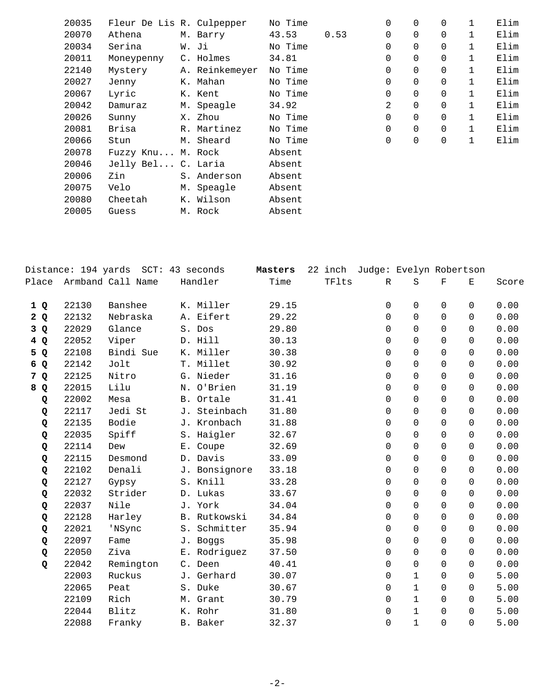| 20035 | Fleur De Lis R. Culpepper |                | No Time |      | 0              | $\Omega$    | $\Omega$    | $\mathbf{1}$ | Elim |
|-------|---------------------------|----------------|---------|------|----------------|-------------|-------------|--------------|------|
| 20070 | Athena                    | M. Barry       | 43.53   | 0.53 | $\Omega$       | $\Omega$    | $\Omega$    | $\mathbf{1}$ | Elim |
| 20034 | Serina                    | W. Ji          | No Time |      | 0              | 0           | $\Omega$    |              | Elim |
| 20011 | Moneypenny                | C. Holmes      | 34.81   |      | 0              | 0           | $\mathbf 0$ | 1            | Elim |
| 22140 | Mystery                   | A. Reinkemeyer | No Time |      | 0              | $\mathbf 0$ | $\mathbf 0$ | $\mathbf{1}$ | Elim |
| 20027 | Jenny                     | K. Mahan       | No Time |      | 0              | $\Omega$    | $\mathbf 0$ |              | Elim |
| 20067 | Lyric                     | K. Kent        | No Time |      | 0              | $\Omega$    | $\Omega$    | $\mathbf{1}$ | Elim |
| 20042 | Damuraz                   | M. Speagle     | 34.92   |      | $\overline{2}$ | $\mathbf 0$ | $\mathbf 0$ | $\mathbf{1}$ | Elim |
| 20026 | Sunny                     | X. Zhou        | No Time |      | 0              | $\mathbf 0$ | $\mathbf 0$ | 1            | Elim |
| 20081 | Brisa                     | R. Martinez    | No Time |      | 0              | $\Omega$    | $\Omega$    | $\mathbf{1}$ | Elim |
| 20066 | Stun                      | M. Sheard      | No Time |      | 0              | $\mathbf 0$ | $\mathbf 0$ | $\mathbf{1}$ | Elim |
| 20078 | Fuzzy Knu M. Rock         |                | Absent  |      |                |             |             |              |      |
| 20046 | Jelly Bel C. Laria        |                | Absent  |      |                |             |             |              |      |
| 20006 | Zin                       | S. Anderson    | Absent  |      |                |             |             |              |      |
| 20075 | Velo                      | M. Speagle     | Absent  |      |                |             |             |              |      |
| 20080 | Cheetah                   | K. Wilson      | Absent  |      |                |             |             |              |      |
| 20005 | Guess                     | M. Rock        | Absent  |      |                |             |             |              |      |

|     |       | Distance: 194 yards SCT: 43 seconds |               | Masters |       | 22 inch Judge: Evelyn Robertson |              |             |                                                                                                |       |
|-----|-------|-------------------------------------|---------------|---------|-------|---------------------------------|--------------|-------------|------------------------------------------------------------------------------------------------|-------|
|     |       | Place Armband Call Name             | Handler       | Time    | TFlts | R                               | S            | $\mathbf F$ | $\mathbf{E}% _{t}\left  \mathbf{1}\right\rangle =\mathbf{1}_{t}\left  \mathbf{1}\right\rangle$ | Score |
| 1Q  | 22130 | Banshee                             | K. Miller     | 29.15   |       | 0                               | 0            | $\Omega$    | 0                                                                                              | 0.00  |
| 2Q  | 22132 | Nebraska                            | A. Eifert     | 29.22   |       | $\mathbf 0$                     | $\Omega$     | $\Omega$    | $\Omega$                                                                                       | 0.00  |
| 3Q  | 22029 | Glance                              | S. Dos        | 29.80   |       | $\mathbf 0$                     | $\Omega$     | $\Omega$    | $\Omega$                                                                                       | 0.00  |
| 4Q  | 22052 | Viper                               | D. Hill       | 30.13   |       | $\Omega$                        | $\Omega$     | $\Omega$    | $\Omega$                                                                                       | 0.00  |
| 5 Q | 22108 | Bindi Sue                           | K. Miller     | 30.38   |       | $\mathbf 0$                     | 0            | $\mathbf 0$ | $\Omega$                                                                                       | 0.00  |
| 6 Q | 22142 | Jolt                                | T. Millet     | 30.92   |       | $\mathbf 0$                     | 0            | $\Omega$    | $\Omega$                                                                                       | 0.00  |
| 7 Q | 22125 | Nitro                               | G. Nieder     | 31.16   |       | 0                               | 0            | $\Omega$    | $\Omega$                                                                                       | 0.00  |
| 8 Q | 22015 | Lilu                                | N. O'Brien    | 31.19   |       | 0                               | 0            | $\Omega$    | $\Omega$                                                                                       | 0.00  |
| Q   | 22002 | Mesa                                | B. Ortale     | 31.41   |       | 0                               | 0            | $\Omega$    | $\Omega$                                                                                       | 0.00  |
| Q   | 22117 | Jedi St                             | J. Steinbach  | 31.80   |       | $\mathbf 0$                     | 0            | $\Omega$    | $\Omega$                                                                                       | 0.00  |
| Q   | 22135 | Bodie                               | J. Kronbach   | 31.88   |       | $\Omega$                        | $\Omega$     | $\Omega$    | $\Omega$                                                                                       | 0.00  |
| Q   | 22035 | Spiff                               | S. Haigler    | 32.67   |       | $\mathbf 0$                     | 0            | $\Omega$    | $\Omega$                                                                                       | 0.00  |
| Q   | 22114 | Dew                                 | E. Coupe      | 32.69   |       | $\Omega$                        | $\Omega$     | $\Omega$    | $\Omega$                                                                                       | 0.00  |
| Q   | 22115 | Desmond                             | D. Davis      | 33.09   |       | $\Omega$                        | $\Omega$     | $\Omega$    | $\Omega$                                                                                       | 0.00  |
| Q   | 22102 | Denali                              | J. Bonsignore | 33.18   |       | $\mathbf 0$                     | 0            | $\Omega$    | $\Omega$                                                                                       | 0.00  |
| Q   | 22127 | Gypsy                               | S. Knill      | 33.28   |       | $\Omega$                        | $\Omega$     | $\Omega$    | $\Omega$                                                                                       | 0.00  |
| Q   | 22032 | Strider                             | D. Lukas      | 33.67   |       | $\mathbf 0$                     | 0            | $\Omega$    | $\Omega$                                                                                       | 0.00  |
| Q   | 22037 | Nile                                | J. York       | 34.04   |       | 0                               | $\Omega$     | $\Omega$    | $\Omega$                                                                                       | 0.00  |
| Q   | 22128 | Harley                              | B. Rutkowski  | 34.84   |       | $\mathbf 0$                     | $\Omega$     | $\Omega$    | $\Omega$                                                                                       | 0.00  |
| Q   | 22021 | 'NSync                              | S. Schmitter  | 35.94   |       | 0                               | 0            | $\Omega$    | $\Omega$                                                                                       | 0.00  |
| Q   | 22097 | Fame                                | J. Boggs      | 35.98   |       | 0                               | 0            | $\Omega$    | $\Omega$                                                                                       | 0.00  |
| Q   | 22050 | Ziva                                | E. Rodriguez  | 37.50   |       | $\mathbf 0$                     | 0            | $\mathbf 0$ | $\Omega$                                                                                       | 0.00  |
| Q   | 22042 | Remington                           | C. Deen       | 40.41   |       | $\Omega$                        | $\Omega$     | $\Omega$    | $\Omega$                                                                                       | 0.00  |
|     | 22003 | Ruckus                              | J. Gerhard    | 30.07   |       | $\Omega$                        | $\mathbf{1}$ | $\Omega$    | $\Omega$                                                                                       | 5.00  |
|     | 22065 | Peat                                | S. Duke       | 30.67   |       | 0                               | $\mathbf{1}$ | $\Omega$    | $\Omega$                                                                                       | 5.00  |
|     | 22109 | Rich                                | M. Grant      | 30.79   |       | $\Omega$                        | $\mathbf{1}$ | $\Omega$    | $\Omega$                                                                                       | 5.00  |
|     | 22044 | Blitz                               | K. Rohr       | 31.80   |       | 0                               | $\mathbf{1}$ | $\Omega$    | $\Omega$                                                                                       | 5.00  |
|     | 22088 | Franky                              | B. Baker      | 32.37   |       | $\mathbf 0$                     | $\mathbf 1$  | $\Omega$    | $\Omega$                                                                                       | 5.00  |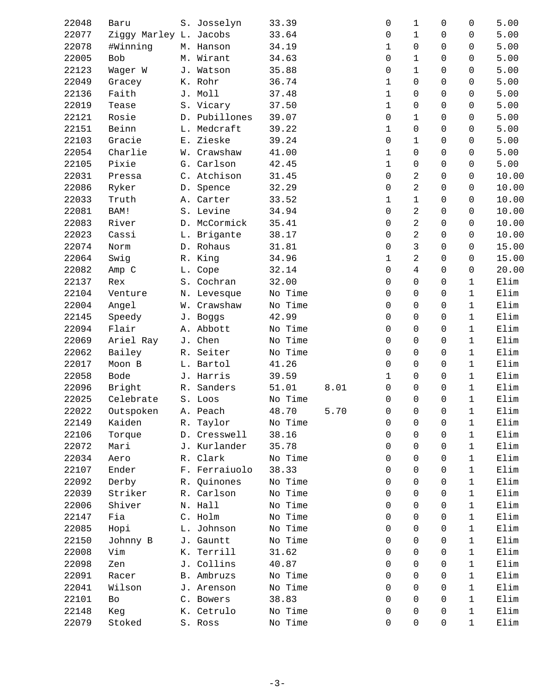| 22048 | Baru                   | S. Josselyn   | 33.39   |      | 0           | 1              | $\Omega$       | $\Omega$     | 5.00  |
|-------|------------------------|---------------|---------|------|-------------|----------------|----------------|--------------|-------|
| 22077 | Ziggy Marley L. Jacobs |               | 33.64   |      | 0           | $\mathbf{1}$   | 0              | $\Omega$     | 5.00  |
| 22078 | #Winning               | M. Hanson     | 34.19   |      | 1           | $\Omega$       | $\Omega$       | $\Omega$     | 5.00  |
| 22005 | Bob                    | M. Wirant     | 34.63   |      | 0           | $\mathbf 1$    | $\Omega$       | $\Omega$     | 5.00  |
| 22123 | Wager W                | J. Watson     | 35.88   |      | 0           | $\mathbf{1}$   | $\Omega$       | $\Omega$     | 5.00  |
| 22049 | Gracey                 | K. Rohr       | 36.74   |      | 1           | $\Omega$       | 0              | $\Omega$     | 5.00  |
| 22136 | Faith                  | J. Moll       | 37.48   |      | 1           | $\mathbf 0$    | 0              | $\Omega$     | 5.00  |
| 22019 | Tease                  | S. Vicary     | 37.50   |      | $\mathbf 1$ | $\mathbf 0$    | $\Omega$       | $\mathbf 0$  | 5.00  |
| 22121 | Rosie                  | D. Pubillones | 39.07   |      | 0           | $\mathbf{1}$   | $\Omega$       | $\Omega$     | 5.00  |
| 22151 | Beinn                  | L. Medcraft   | 39.22   |      | $\mathbf 1$ | $\mathsf{O}$   | $\Omega$       | $\Omega$     | 5.00  |
| 22103 | Gracie                 | E. Zieske     | 39.24   |      | 0           | $\mathbf{1}$   | 0              | $\Omega$     | 5.00  |
| 22054 |                        |               |         |      |             |                | $\Omega$       | $\Omega$     |       |
|       | Charlie                | W. Crawshaw   | 41.00   |      | 1           | 0              |                |              | 5.00  |
| 22105 | Pixie                  | G. Carlson    | 42.45   |      | $\mathbf 1$ | $\mathsf{O}$   | $\mathbf 0$    | $\mathsf{O}$ | 5.00  |
| 22031 | Pressa                 | C. Atchison   | 31.45   |      | 0           | 2              | 0              | 0            | 10.00 |
| 22086 | Ryker                  | D. Spence     | 32.29   |      | 0           | 2              | 0              | $\Omega$     | 10.00 |
| 22033 | Truth                  | A. Carter     | 33.52   |      | 1           | $\mathbf 1$    | $\Omega$       | $\Omega$     | 10.00 |
| 22081 | BAM!                   | S. Levine     | 34.94   |      | 0           | $\overline{c}$ | $\Omega$       | $\Omega$     | 10.00 |
| 22083 | River                  | D. McCormick  | 35.41   |      | 0           | $\overline{a}$ | 0              | $\Omega$     | 10.00 |
| 22023 | Cassi                  | L. Brigante   | 38.17   |      | 0           | $\overline{2}$ | 0              | $\Omega$     | 10.00 |
| 22074 | Norm                   | D. Rohaus     | 31.81   |      | $\Omega$    | 3              | 0              | $\Omega$     | 15.00 |
| 22064 | Swig                   | R. King       | 34.96   |      | 1           | $\overline{2}$ | 0              | $\Omega$     | 15.00 |
| 22082 | Amp C                  | L. Cope       | 32.14   |      | 0           | $\overline{4}$ | 0              | 0            | 20.00 |
| 22137 | Rex                    | S. Cochran    | 32.00   |      | 0           | $\Omega$       | 0              | $\mathbf{1}$ | Elim  |
| 22104 | Venture                | N. Levesque   | No Time |      | $\Omega$    | $\Omega$       | 0              | $\mathbf{1}$ | Elim  |
| 22004 | Angel                  | W. Crawshaw   | No Time |      | 0           | 0              | 0              | $\mathbf{1}$ | Elim  |
| 22145 | Speedy                 | J. Boggs      | 42.99   |      | 0           | $\mathsf{O}$   | 0              | $\mathbf{1}$ | Elim  |
| 22094 | Flair                  | A. Abbott     | No Time |      | 0           | $\Omega$       | 0              | $\mathbf{1}$ | Elim  |
| 22069 | Ariel Ray              | J. Chen       | No Time |      | 0           | $\Omega$       | 0              | $\mathbf{1}$ | Elim  |
| 22062 | Bailey                 | R. Seiter     | No Time |      | 0           | $\mathbf 0$    | 0              | $\mathbf{1}$ | Elim  |
| 22017 | Moon B                 | L. Bartol     | 41.26   |      | 0           | $\mathbf 0$    | $\Omega$       | $\mathbf{1}$ | Elim  |
| 22058 | Bode                   | J. Harris     | 39.59   |      | $\mathbf 1$ | $\Omega$       | 0              | $\mathbf{1}$ | Elim  |
| 22096 | Bright                 | R. Sanders    | 51.01   | 8.01 | 0           | $\Omega$       | 0              | $\mathbf{1}$ | Elim  |
| 22025 | Celebrate              | S. Loos       | No Time |      | 0           | $\Omega$       | $\Omega$       | $\mathbf 1$  | Elim  |
| 22022 | Outspoken              | A. Peach      | 48.70   | 5.70 | 0           | $\mathsf{O}$   | $\overline{0}$ | $\mathbf{1}$ | Elim  |
| 22149 | Kaiden                 | R. Taylor     | No Time |      | 0           | 0              | 0              | $\mathbf{1}$ | Elim  |
| 22106 | Torque                 | D. Cresswell  | 38.16   |      | $\Omega$    | $\Omega$       | 0              | $\mathbf{1}$ | Elim  |
| 22072 | Mari                   | J. Kurlander  | 35.78   |      | 0           | $\Omega$       | 0              | $\mathbf{1}$ | Elim  |
| 22034 | Aero                   | R. Clark      | No Time |      | 0           | $\Omega$       | 0              | $\mathbf{1}$ | Elim  |
| 22107 | Ender                  | F. Ferraiuolo | 38.33   |      | 0           | $\Omega$       | 0              | $\mathbf{1}$ | Elim  |
| 22092 | Derby                  | R. Quinones   | No Time |      | 0           | $\Omega$       | 0              | $\mathbf{1}$ | Elim  |
| 22039 | Striker                | R. Carlson    | No Time |      | $\Omega$    | $\Omega$       | 0              | $\mathbf{1}$ | Elim  |
|       |                        |               |         |      |             |                |                |              |       |
| 22006 | Shiver                 | N. Hall       | No Time |      | 0           | $\mathbf 0$    | 0              | $\mathbf{1}$ | Elim  |
| 22147 | Fia                    | C. Holm       | No Time |      | 0           | $\Omega$       | 0              | $\mathbf 1$  | Elim  |
| 22085 | Hopi                   | L. Johnson    | No Time |      | 0           | $\Omega$       | 0              | $\mathbf{1}$ | Elim  |
| 22150 | Johnny B               | J. Gauntt     | No Time |      | 0           | $\Omega$       | $\Omega$       | $\mathbf{1}$ | Elim  |
| 22008 | Vim                    | K. Terrill    | 31.62   |      | 0           | $\mathbf 0$    | 0              | $\mathbf 1$  | Elim  |
| 22098 | Zen                    | J. Collins    | 40.87   |      | 0           | $\Omega$       | $\Omega$       | 1            | Elim  |
| 22091 | Racer                  | B. Ambruzs    | No Time |      | 0           | $\Omega$       | $\Omega$       | 1            | Elim  |
| 22041 | Wilson                 | J. Arenson    | No Time |      | 0           | $\Omega$       | $\Omega$       | $\mathbf{1}$ | Elim  |
| 22101 | Bo                     | C. Bowers     | 38.83   |      | 0           | $\Omega$       | 0              | $\mathbf{1}$ | Elim  |
| 22148 | Keg                    | K. Cetrulo    | No Time |      | 0           | $\Omega$       | 0              | $\mathbf{1}$ | Elim  |
| 22079 | Stoked                 | S. Ross       | No Time |      | 0           | $\mathsf{O}$   | 0              | $\mathbf{1}$ | Elim  |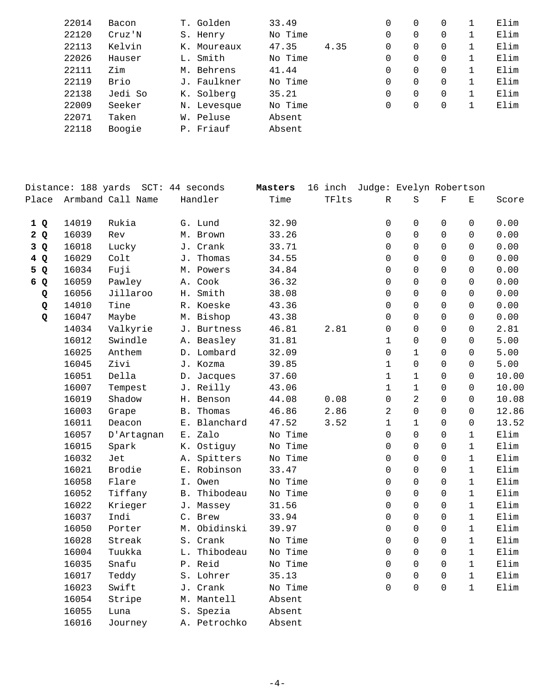| 22014 | Bacon   | T. Golden   | 33.49   |      | 0        | 0 | 0        | Elim |
|-------|---------|-------------|---------|------|----------|---|----------|------|
| 22120 | Cruz'N  | S. Henry    | No Time |      | 0        | 0 | 0        | Elim |
| 22113 | Kelvin  | K. Moureaux | 47.35   | 4.35 | $\Omega$ | 0 | 0        | Elim |
| 22026 | Hauser  | L. Smith    | No Time |      | 0        | 0 | 0        | Elim |
| 22111 | Zim     | M. Behrens  | 41.44   |      | 0        | 0 | 0        | Elim |
| 22119 | Brio    | J. Faulkner | No Time |      | 0        | 0 | 0        | Elim |
| 22138 | Jedi So | K. Solberg  | 35.21   |      | 0        | 0 | $\Omega$ | Elim |
| 22009 | Seeker  | N. Levesque | No Time |      | $\Omega$ | 0 | 0        | Elim |
| 22071 | Taken   | W. Peluse   | Absent  |      |          |   |          |      |
| 22118 | Boogie  | P. Friauf   | Absent  |      |          |   |          |      |
|       |         |             |         |      |          |   |          |      |

|                  | Distance: 188 yards |                   |    | SCT: 44 seconds  | Masters | 16 inch |              | Judge: Evelyn Robertson |             |              |       |
|------------------|---------------------|-------------------|----|------------------|---------|---------|--------------|-------------------------|-------------|--------------|-------|
| Place            |                     | Armband Call Name |    | Handler          | Time    | TFlts   | R            | $\rm S$                 | $\mathbf F$ | $\mathbf E$  | Score |
| 1Q               | 14019               | Rukia             |    | G. Lund          | 32.90   |         | 0            | $\mathsf 0$             | $\Omega$    | 0            | 0.00  |
| 2Q               | 16039               | Rev               |    | M. Brown         | 33.26   |         | $\Omega$     | $\Omega$                | $\Omega$    | $\Omega$     | 0.00  |
| 3Q               | 16018               | Lucky             |    | J. Crank         | 33.71   |         | $\Omega$     | $\Omega$                | $\Omega$    | $\Omega$     | 0.00  |
| 4 Q              | 16029               | Colt              |    | J. Thomas        | 34.55   |         | $\Omega$     | $\Omega$                | $\Omega$    | $\Omega$     | 0.00  |
| 5 Q              | 16034               | Fuji              |    | M. Powers        | 34.84   |         | $\Omega$     | $\Omega$                | $\Omega$    | $\Omega$     | 0.00  |
| 6<br>$\mathbf Q$ | 16059               | Pawley            |    | A. Cook          | 36.32   |         | $\Omega$     | $\Omega$                | $\Omega$    | $\Omega$     | 0.00  |
| Q                | 16056               | Jillaroo          |    | H. Smith         | 38.08   |         | $\Omega$     | $\Omega$                | $\Omega$    | $\Omega$     | 0.00  |
| Q                | 14010               | Tine              |    | R. Koeske        | 43.36   |         | $\Omega$     | $\Omega$                | $\Omega$    | $\Omega$     | 0.00  |
| Q                | 16047               | Maybe             |    | M. Bishop        | 43.38   |         | $\Omega$     | $\Omega$                | $\Omega$    | $\Omega$     | 0.00  |
|                  | 14034               | Valkyrie          |    | J. Burtness      | 46.81   | 2.81    | $\Omega$     | $\Omega$                | $\Omega$    | $\Omega$     | 2.81  |
|                  | 16012               | Swindle           |    | A. Beasley       | 31.81   |         | $\mathbf{1}$ | $\Omega$                | $\Omega$    | $\Omega$     | 5.00  |
|                  | 16025               | Anthem            |    | D. Lombard       | 32.09   |         | $\Omega$     | $\mathbf{1}$            | $\Omega$    | $\Omega$     | 5.00  |
|                  | 16045               | Zivi              |    | J. Kozma         | 39.85   |         | $\mathbf{1}$ | $\Omega$                | $\Omega$    | $\Omega$     | 5.00  |
|                  | 16051               | Della             |    | D. Jacques       | 37.60   |         | 1            | $\mathbf{1}$            | $\Omega$    | $\Omega$     | 10.00 |
|                  | 16007               | Tempest           |    | J. Reilly        | 43.06   |         | 1            | $\mathbf{1}$            | 0           | $\mathbf 0$  | 10.00 |
|                  | 16019               | Shadow            |    | H. Benson        | 44.08   | 0.08    | 0            | 2                       | 0           | $\mathbf 0$  | 10.08 |
|                  | 16003               | Grape             |    | <b>B.</b> Thomas | 46.86   | 2.86    | 2            | $\mathbf 0$             | 0           | $\mathbf 0$  | 12.86 |
|                  | 16011               | Deacon            |    | E. Blanchard     | 47.52   | 3.52    | 1            | $\mathbf{1}$            | 0           | $\mathbf 0$  | 13.52 |
|                  | 16057               | D'Artagnan        |    | E. Zalo          | No Time |         | 0            | $\Omega$                | 0           | $\mathbf{1}$ | Elim  |
|                  | 16015               | Spark             |    | K. Ostiguy       | No Time |         | 0            | $\mathbf 0$             | 0           | $\mathbf{1}$ | Elim  |
|                  | 16032               | Jet               | Α. | Spitters         | No Time |         | 0            | $\mathbf 0$             | $\Omega$    | $\mathbf{1}$ | Elim  |
|                  | 16021               | Brodie            |    | E. Robinson      | 33.47   |         | $\Omega$     | $\Omega$                | $\Omega$    | $\mathbf{1}$ | Elim  |
|                  | 16058               | Flare             |    | I. Owen          | No Time |         | $\Omega$     | $\Omega$                | $\Omega$    | $\mathbf{1}$ | Elim  |
|                  | 16052               | Tiffany           |    | B. Thibodeau     | No Time |         | $\Omega$     | $\Omega$                | 0           | $\mathbf{1}$ | Elim  |
|                  | 16022               | Krieger           |    | J. Massey        | 31.56   |         | $\Omega$     | $\Omega$                | 0           | $\mathbf{1}$ | Elim  |
|                  | 16037               | Indi              |    | C. Brew          | 33.94   |         | $\Omega$     | $\Omega$                | 0           | $\mathbf{1}$ | Elim  |
|                  | 16050               | Porter            |    | M. Obidinski     | 39.97   |         | $\Omega$     | $\Omega$                | $\Omega$    | $\mathbf 1$  | Elim  |
|                  | 16028               | Streak            |    | S. Crank         | No Time |         | $\Omega$     | $\Omega$                | $\Omega$    | $\mathbf 1$  | Elim  |
|                  | 16004               | Tuukka            |    | L. Thibodeau     | No Time |         | $\Omega$     | $\Omega$                | $\Omega$    | $\mathbf 1$  | Elim  |
|                  | 16035               | Snafu             |    | P. Reid          | No Time |         | $\Omega$     | $\Omega$                | $\Omega$    | $\mathbf{1}$ | Elim  |
|                  | 16017               | Teddy             |    | S. Lohrer        | 35.13   |         | 0            | $\mathbf 0$             | $\Omega$    | $\mathbf{1}$ | Elim  |
|                  | 16023               | Swift             |    | J. Crank         | No Time |         | 0            | $\overline{0}$          | $\Omega$    | $\mathbf 1$  | Elim  |
|                  | 16054               | Stripe            |    | M. Mantell       | Absent  |         |              |                         |             |              |       |
|                  | 16055               | Luna              |    | S. Spezia        | Absent  |         |              |                         |             |              |       |
|                  | 16016               | Journey           |    | A. Petrochko     | Absent  |         |              |                         |             |              |       |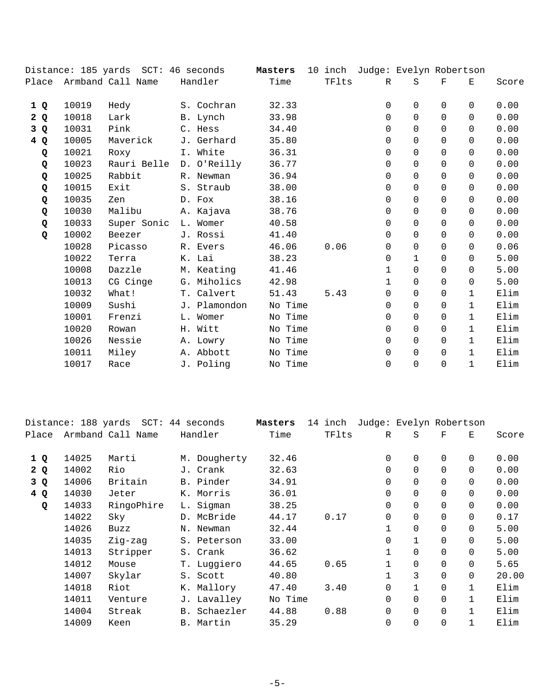|     |       | Distance: 185 yards SCT: 46 seconds |              | Masters |      | 10 inch Judge: Evelyn Robertson |              |            |              |       |
|-----|-------|-------------------------------------|--------------|---------|------|---------------------------------|--------------|------------|--------------|-------|
|     |       | Place Armband Call Name             | Handler      | Time    |      | TFlts<br>R                      | S            | $_{\rm F}$ | Ε            | Score |
| 1 Q | 10019 | Hedy                                | S. Cochran   | 32.33   |      | 0                               | $\mathbf 0$  | $\Omega$   | $\Omega$     | 0.00  |
| 2Q  | 10018 | Lark                                | B. Lynch     | 33.98   |      | 0                               | $\Omega$     | $\Omega$   | $\Omega$     | 0.00  |
| 3Q  | 10031 | Pink                                | C. Hess      | 34.40   |      | 0                               | $\Omega$     | $\Omega$   | $\Omega$     | 0.00  |
| 4 Q | 10005 | Maverick                            | J. Gerhard   | 35.80   |      | $\Omega$                        | $\Omega$     | $\Omega$   | $\Omega$     | 0.00  |
| Q   | 10021 | Roxy                                | I. White     | 36.31   |      | $\Omega$                        | $\Omega$     | $\Omega$   | $\Omega$     | 0.00  |
| Q   | 10023 | Rauri Belle                         | D. O'Reilly  | 36.77   |      | $\Omega$                        | $\Omega$     | $\Omega$   | $\Omega$     | 0.00  |
| Q   | 10025 | Rabbit                              | R. Newman    | 36.94   |      | 0                               | $\Omega$     | $\Omega$   | $\Omega$     | 0.00  |
| Q   | 10015 | Exit                                | S. Straub    | 38.00   |      | $\Omega$                        | $\Omega$     | $\Omega$   | $\Omega$     | 0.00  |
| Q   | 10035 | Zen                                 | D. Fox       | 38.16   |      | $\Omega$                        | $\Omega$     | $\Omega$   | $\Omega$     | 0.00  |
| Q   | 10030 | Malibu                              | A. Kajava    | 38.76   |      | $\Omega$                        | $\Omega$     | $\Omega$   | $\Omega$     | 0.00  |
| Q   | 10033 | Super Sonic                         | L. Womer     | 40.58   |      | $\Omega$                        | $\Omega$     | $\Omega$   | $\Omega$     | 0.00  |
| Q   | 10002 | Beezer                              | J. Rossi     | 41.40   |      | 0                               | $\Omega$     | 0          | 0            | 0.00  |
|     | 10028 | Picasso                             | R. Evers     | 46.06   | 0.06 | 0                               | $\Omega$     | 0          | $\Omega$     | 0.06  |
|     | 10022 | Terra                               | K. Lai       | 38.23   |      | 0                               | $\mathbf{1}$ | 0          | $\Omega$     | 5.00  |
|     | 10008 | Dazzle                              | M. Keating   | 41.46   |      | 1                               | $\Omega$     | $\Omega$   | $\Omega$     | 5.00  |
|     | 10013 | CG Cinge                            | G. Miholics  | 42.98   |      | $\mathbf 1$                     | $\Omega$     | $\Omega$   | $\Omega$     | 5.00  |
|     | 10032 | What!                               | T. Calvert   | 51.43   | 5.43 | $\Omega$                        | $\Omega$     | $\Omega$   | $\mathbf{1}$ | Elim  |
|     | 10009 | Sushi                               | J. Plamondon | No Time |      | $\Omega$                        | $\Omega$     | $\Omega$   | $\mathbf{1}$ | Elim  |
|     | 10001 | Frenzi                              | L. Womer     | No Time |      | $\Omega$                        | $\Omega$     | $\Omega$   | $\mathbf{1}$ | Elim  |
|     | 10020 | Rowan                               | H. Witt      | No Time |      | 0                               | $\Omega$     | $\Omega$   | $\mathbf{1}$ | Elim  |
|     | 10026 | Nessie                              | A. Lowry     | No Time |      | 0                               | $\mathbf 0$  | $\Omega$   | $\mathbf{1}$ | Elim  |
|     | 10011 | Miley                               | A. Abbott    | No Time |      | 0                               | 0            | $\Omega$   | $\mathbf{1}$ | Elim  |
|     | 10017 | Race                                | J. Poling    | No Time |      | $\Omega$                        | $\Omega$     | $\Omega$   | $\mathbf{1}$ | Elim  |

|       | Distance: 188 yards |                   | $SCT: 44$ seconds | Masters | inch<br>14 |          | Judge: Evelyn Robertson |             |              |       |
|-------|---------------------|-------------------|-------------------|---------|------------|----------|-------------------------|-------------|--------------|-------|
| Place |                     | Armband Call Name | Handler           | Time    | TFlts      | R        | S                       | $\mathbf F$ | E.           | Score |
| 1Q    | 14025               | Marti             | M. Dougherty      | 32.46   |            | 0        | 0                       | 0           | $\Omega$     | 0.00  |
| 2Q    | 14002               | Rio               | J. Crank          | 32.63   |            | 0        | $\Omega$                | $\Omega$    | $\Omega$     | 0.00  |
| 3 Q   | 14006               | Britain           | B. Pinder         | 34.91   |            | 0        | $\mathbf 0$             | $\Omega$    | $\Omega$     | 0.00  |
| 4 Q   | 14030               | Jeter             | K. Morris         | 36.01   |            | 0        | $\mathbf 0$             | $\Omega$    | $\Omega$     | 0.00  |
| Q     | 14033               | RingoPhire        | L. Sigman         | 38.25   |            | $\Omega$ | $\Omega$                | $\Omega$    | $\Omega$     | 0.00  |
|       | 14022               | Sky               | D. McBride        | 44.17   | 0.17       | 0        | $\Omega$                | $\Omega$    | $\Omega$     | 0.17  |
|       | 14026               | Buzz              | N. Newman         | 32.44   |            | 1        | $\Omega$                | $\Omega$    | $\Omega$     | 5.00  |
|       | 14035               | Zig-zag           | S. Peterson       | 33.00   |            | 0        | $\mathbf{1}$            | $\Omega$    | $\Omega$     | 5.00  |
|       | 14013               | Stripper          | S. Crank          | 36.62   |            | 1        | $\mathbf 0$             | $\Omega$    | $\Omega$     | 5.00  |
|       | 14012               | Mouse             | T. Luggiero       | 44.65   | 0.65       | 1        | $\mathbf 0$             | 0           | $\Omega$     | 5.65  |
|       | 14007               | Skylar            | S. Scott          | 40.80   |            | 1        | 3                       | 0           | $\Omega$     | 20.00 |
|       | 14018               | Riot              | K. Mallory        | 47.40   | 3.40       | 0        | $\mathbf{1}$            | $\Omega$    | $\mathbf{1}$ | Elim  |
|       | 14011               | Venture           | J. Lavalley       | No Time |            | 0        | $\Omega$                | $\Omega$    |              | Elim  |
|       | 14004               | Streak            | B. Schaezler      | 44.88   | 0.88       | 0        | $\Omega$                | $\Omega$    |              | Elim  |
|       | 14009               | Keen              | B. Martin         | 35.29   |            | 0        | $\mathbf 0$             | $\mathbf 0$ | $\mathbf{1}$ | Elim  |
|       |                     |                   |                   |         |            |          |                         |             |              |       |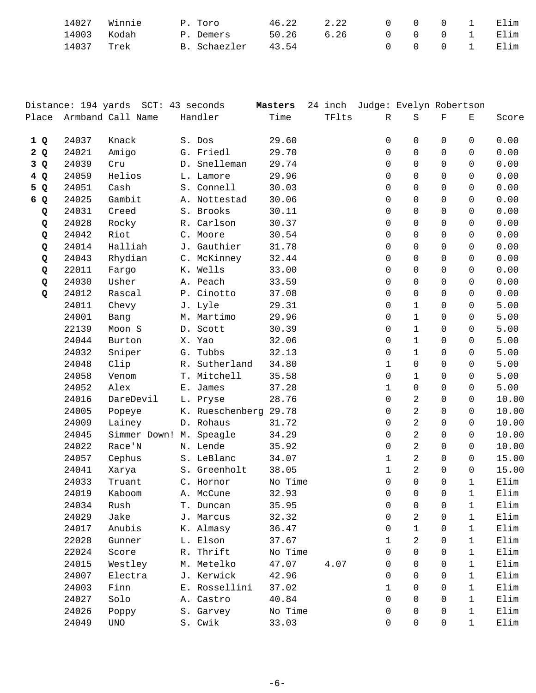| 14027 Winnie |      | P. Toro      | 46.22 | 2.22 | 0 0 0 1 Elim |  |  |
|--------------|------|--------------|-------|------|--------------|--|--|
| 14003 Kodah  |      | P. Demers    | 50.26 | 6.26 | 0 0 0 1 Elim |  |  |
| 14037        | Trek | B. Schaezler | 43.54 |      | 0 0 0 1 Elim |  |  |

|     |       | Distance: 194 yards SCT: 43 seconds |                       | Masters |       | 24 inch Judge: Evelyn Robertson |                |              |              |       |
|-----|-------|-------------------------------------|-----------------------|---------|-------|---------------------------------|----------------|--------------|--------------|-------|
|     |       | Place Armband Call Name             | Handler               | Time    | TFlts | $\mathbb{R}$                    | S              | $\mathbf F$  | Е            | Score |
| 1Q  | 24037 | Knack                               | S. Dos                | 29.60   |       | $\mathbf 0$                     | 0              | $\mathbf 0$  | 0            | 0.00  |
| 2Q  | 24021 | Amigo                               | G. Friedl             | 29.70   |       | $\mathbf 0$                     | 0              | $\mathsf{O}$ | $\mathbf 0$  | 0.00  |
| 3 Q | 24039 | Cru                                 | D. Snelleman          | 29.74   |       | 0                               | 0              | $\Omega$     | $\Omega$     | 0.00  |
| 4Q  | 24059 | Helios                              | L. Lamore             | 29.96   |       | 0                               | 0              | $\Omega$     | 0            | 0.00  |
| 5 Q | 24051 | Cash                                | S. Connell            | 30.03   |       | 0                               | $\Omega$       | $\Omega$     | $\Omega$     | 0.00  |
| 6 Q | 24025 | Gambit                              | A. Nottestad          | 30.06   |       | $\mathbf 0$                     | 0              | $\mathsf{O}$ | 0            | 0.00  |
| Q   | 24031 | Creed                               | S. Brooks             | 30.11   |       | 0                               | 0              | $\mathsf{O}$ | $\Omega$     | 0.00  |
| Q   | 24028 | Rocky                               | R. Carlson            | 30.37   |       | 0                               | 0              | $\Omega$     | 0            | 0.00  |
| Q   | 24042 | Riot                                | C. Moore              | 30.54   |       | 0                               | $\Omega$       | $\Omega$     | $\Omega$     | 0.00  |
| Q   | 24014 | Halliah                             | J. Gauthier           | 31.78   |       | 0                               | 0              | $\mathbf 0$  | 0            | 0.00  |
| Q   | 24043 | Rhydian                             | C. McKinney           | 32.44   |       | 0                               | 0              | $\mathbf 0$  | $\Omega$     | 0.00  |
| Q   | 22011 | Fargo                               | K. Wells              | 33.00   |       | 0                               | 0              | $\Omega$     | 0            | 0.00  |
| Q   | 24030 | Usher                               | A. Peach              | 33.59   |       | 0                               | 0              | $\Omega$     | $\Omega$     | 0.00  |
| Q   | 24012 | Rascal                              | P. Cinotto            | 37.08   |       | $\mathbf 0$                     | 0              | $\mathsf{O}$ | 0            | 0.00  |
|     | 24011 | Chevy                               | J. Lyle               | 29.31   |       | 0                               | 1              | $\mathsf{O}$ | $\Omega$     | 5.00  |
|     | 24001 | Bang                                | M. Martimo            | 29.96   |       | 0                               | $\mathbf{1}$   | $\Omega$     | $\Omega$     | 5.00  |
|     | 22139 | Moon S                              | D. Scott              | 30.39   |       | 0                               | $\mathbf{1}$   | $\Omega$     | $\Omega$     | 5.00  |
|     | 24044 | Burton                              | X. Yao                | 32.06   |       | 0                               | $\mathbf{1}$   | $\mathbf 0$  | 0            | 5.00  |
|     | 24032 | Sniper                              | G. Tubbs              | 32.13   |       | 0                               | $\mathbf{1}$   | $\mathsf{O}$ | 0            | 5.00  |
|     | 24048 | Clip                                | R. Sutherland         | 34.80   |       | $\mathbf 1$                     | 0              | $\Omega$     | $\Omega$     | 5.00  |
|     | 24058 | Venom                               | T. Mitchell           | 35.58   |       | $\mathbf 0$                     | 1              | $\mathbf 0$  | $\Omega$     | 5.00  |
|     | 24052 | Alex                                | E. James              | 37.28   |       | $\mathbf 1$                     | 0              | $\Omega$     | 0            | 5.00  |
|     | 24016 | DareDevil                           | L. Pryse              | 28.76   |       | $\mathbf 0$                     | 2              | $\mathsf{O}$ | 0            | 10.00 |
|     | 24005 | Popeye                              | K. Rueschenberg 29.78 |         |       | 0                               | $\overline{a}$ | $\Omega$     | $\Omega$     | 10.00 |
|     | 24009 | Lainey                              | D. Rohaus             | 31.72   |       | $\mathbf 0$                     | $\overline{a}$ | $\Omega$     | $\Omega$     | 10.00 |
|     | 24045 | Simmer Down! M. Speagle             |                       | 34.29   |       | 0                               | $\overline{2}$ | 0            | $\Omega$     | 10.00 |
|     | 24022 | Race'N                              | N. Lende              | 35.92   |       | $\mathbf 0$                     | $\overline{2}$ | $\mathsf{O}$ | 0            | 10.00 |
|     | 24057 | Cephus                              | S. LeBlanc            | 34.07   |       | $\mathbf 1$                     | $\overline{2}$ | $\Omega$     | 0            | 15.00 |
|     | 24041 | Xarya                               | S. Greenholt          | 38.05   |       | $\mathbf{1}$                    | $\overline{a}$ | 0            | 0            | 15.00 |
|     | 24033 | Truant                              | C. Hornor             | No Time |       | 0                               | 0              | $\mathbf 0$  | $\mathbf{1}$ | Elim  |
|     | 24019 | Kaboom                              | A. McCune             | 32.93   |       | $\mathsf{O}$                    | $\overline{0}$ | $\mathsf{O}$ | $\mathbf{1}$ | Elim  |
|     | 24034 | Rush                                | T. Duncan             | 35.95   |       | 0                               | 0              | 0            | 1            | Elim  |
|     | 24029 | Jake                                | J. Marcus             | 32.32   |       | 0                               | 2              | 0            | $\mathbf 1$  | Elim  |
|     | 24017 | Anubis                              | K. Almasy             | 36.47   |       | $\Omega$                        | $\mathbf{1}$   | $\Omega$     | 1            | Elim  |
|     | 22028 | Gunner                              | L. Elson              | 37.67   |       | $\mathbf{1}$                    | 2              | $\Omega$     | 1            | Elim  |
|     | 22024 | Score                               | R. Thrift             | No Time |       | 0                               | 0              | $\Omega$     | 1            | Elim  |
|     | 24015 | Westley                             | M. Metelko            | 47.07   | 4.07  | 0                               | $\Omega$       | $\Omega$     | 1            | Elim  |
|     | 24007 | Electra                             | J. Kerwick            | 42.96   |       | $\Omega$                        | $\Omega$       | $\Omega$     | 1            | Elim  |
|     | 24003 | Finn                                | E. Rossellini         | 37.02   |       | $\mathbf{1}$                    | 0              | 0            | $\mathbf{1}$ | Elim  |
|     | 24027 | Solo                                | A. Castro             | 40.84   |       | 0                               | $\Omega$       | $\Omega$     | 1            | Elim  |
|     | 24026 | Poppy                               | S. Garvey             | No Time |       | 0                               | $\Omega$       | $\Omega$     | 1            | Elim  |
|     | 24049 | <b>UNO</b>                          | S. Cwik               | 33.03   |       | $\mathbf 0$                     | 0              | $\mathbf 0$  | $\mathbf{1}$ | Elim  |